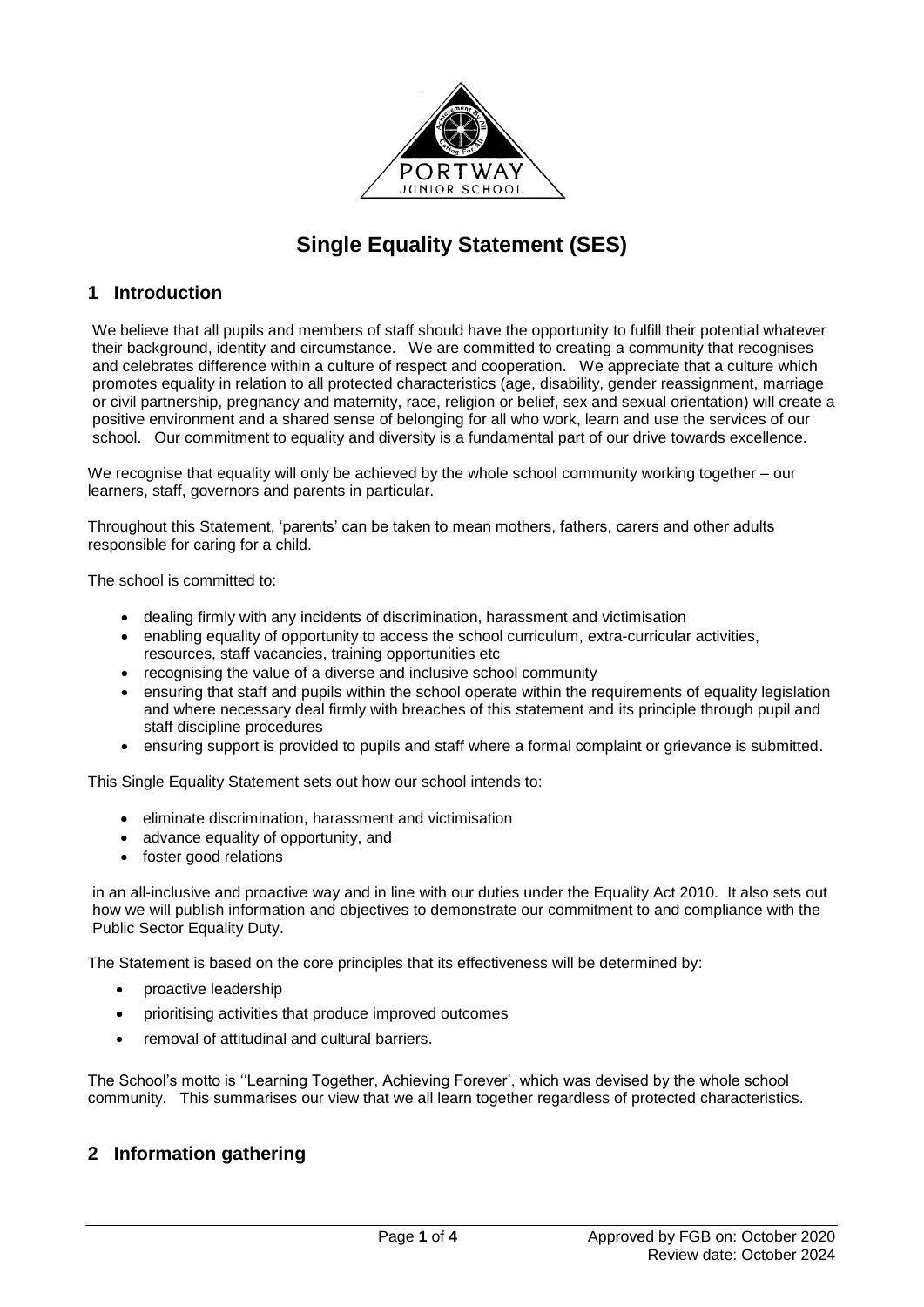

# **Single Equality Statement (SES)**

### **1 Introduction**

We believe that all pupils and members of staff should have the opportunity to fulfill their potential whatever their background, identity and circumstance. We are committed to creating a community that recognises and celebrates difference within a culture of respect and cooperation. We appreciate that a culture which promotes equality in relation to all protected characteristics (age, disability, gender reassignment, marriage or civil partnership, pregnancy and maternity, race, religion or belief, sex and sexual orientation) will create a positive environment and a shared sense of belonging for all who work, learn and use the services of our school. Our commitment to equality and diversity is a fundamental part of our drive towards excellence.

We recognise that equality will only be achieved by the whole school community working together – our learners, staff, governors and parents in particular.

Throughout this Statement, 'parents' can be taken to mean mothers, fathers, carers and other adults responsible for caring for a child.

The school is committed to:

- dealing firmly with any incidents of discrimination, harassment and victimisation
- enabling equality of opportunity to access the school curriculum, extra-curricular activities, resources, staff vacancies, training opportunities etc
- recognising the value of a diverse and inclusive school community
- ensuring that staff and pupils within the school operate within the requirements of equality legislation and where necessary deal firmly with breaches of this statement and its principle through pupil and staff discipline procedures
- ensuring support is provided to pupils and staff where a formal complaint or grievance is submitted.

This Single Equality Statement sets out how our school intends to:

- eliminate discrimination, harassment and victimisation
- advance equality of opportunity, and
- foster good relations

in an all-inclusive and proactive way and in line with our duties under the Equality Act 2010. It also sets out how we will publish information and objectives to demonstrate our commitment to and compliance with the Public Sector Equality Duty.

The Statement is based on the core principles that its effectiveness will be determined by:

- proactive leadership
- prioritising activities that produce improved outcomes
- removal of attitudinal and cultural barriers.

The School's motto is ''Learning Together, Achieving Forever', which was devised by the whole school community. This summarises our view that we all learn together regardless of protected characteristics.

### **2 Information gathering**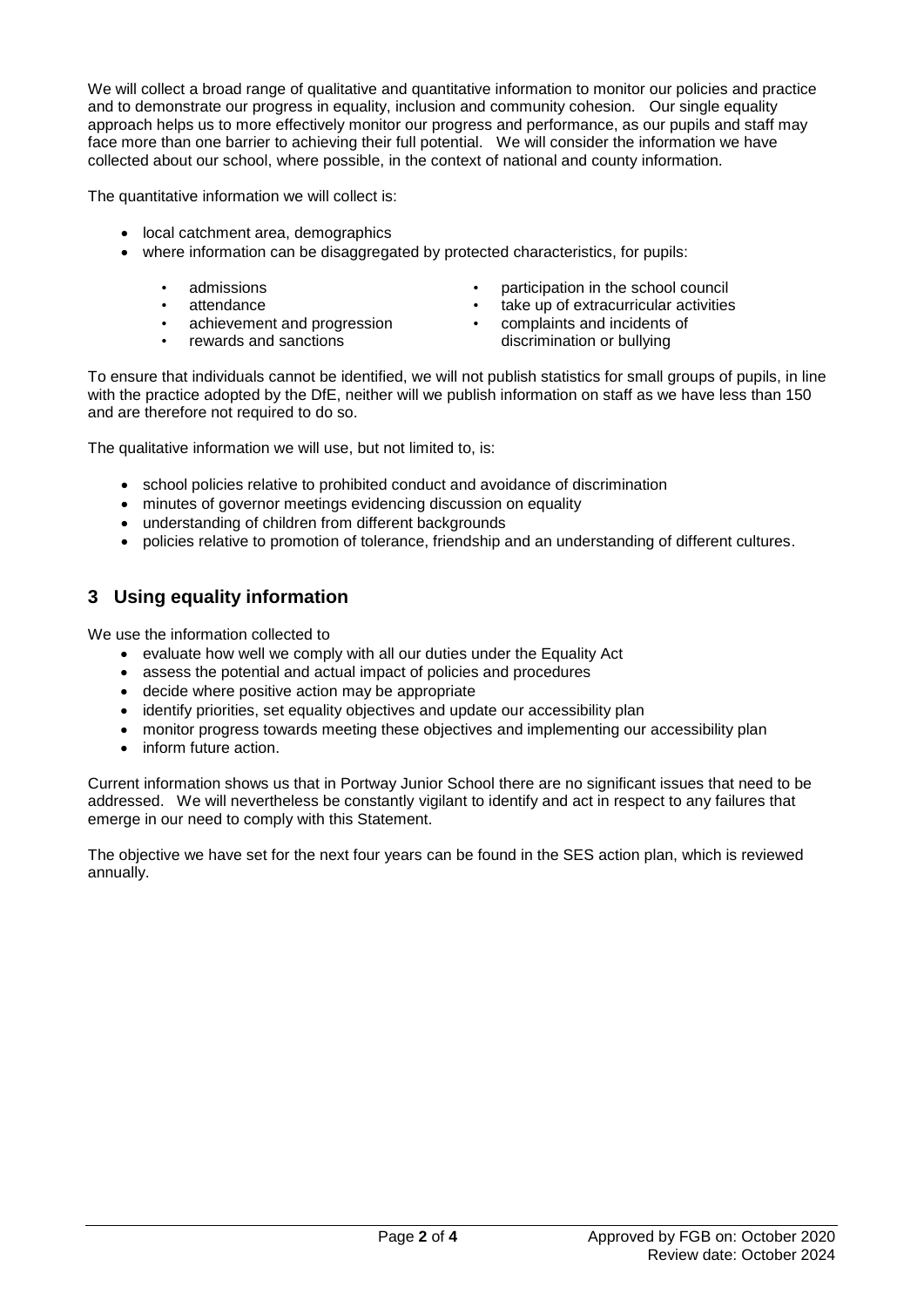We will collect a broad range of qualitative and quantitative information to monitor our policies and practice and to demonstrate our progress in equality, inclusion and community cohesion. Our single equality approach helps us to more effectively monitor our progress and performance, as our pupils and staff may face more than one barrier to achieving their full potential. We will consider the information we have collected about our school, where possible, in the context of national and county information.

The quantitative information we will collect is:

- local catchment area, demographics
- where information can be disaggregated by protected characteristics, for pupils:
	- admissions
	- attendance
		- achievement and progression
	- rewards and sanctions
- participation in the school council
- take up of extracurricular activities<br>• complaints and incidents of
	- complaints and incidents of discrimination or bullying

To ensure that individuals cannot be identified, we will not publish statistics for small groups of pupils, in line with the practice adopted by the DfE, neither will we publish information on staff as we have less than 150 and are therefore not required to do so.

The qualitative information we will use, but not limited to, is:

- school policies relative to prohibited conduct and avoidance of discrimination
- minutes of governor meetings evidencing discussion on equality
- understanding of children from different backgrounds
- policies relative to promotion of tolerance, friendship and an understanding of different cultures.

## **3 Using equality information**

We use the information collected to

- evaluate how well we comply with all our duties under the Equality Act
- assess the potential and actual impact of policies and procedures
- decide where positive action may be appropriate
- identify priorities, set equality objectives and update our accessibility plan
- monitor progress towards meeting these objectives and implementing our accessibility plan
- inform future action.

Current information shows us that in Portway Junior School there are no significant issues that need to be addressed. We will nevertheless be constantly vigilant to identify and act in respect to any failures that emerge in our need to comply with this Statement.

The objective we have set for the next four years can be found in the SES action plan, which is reviewed annually.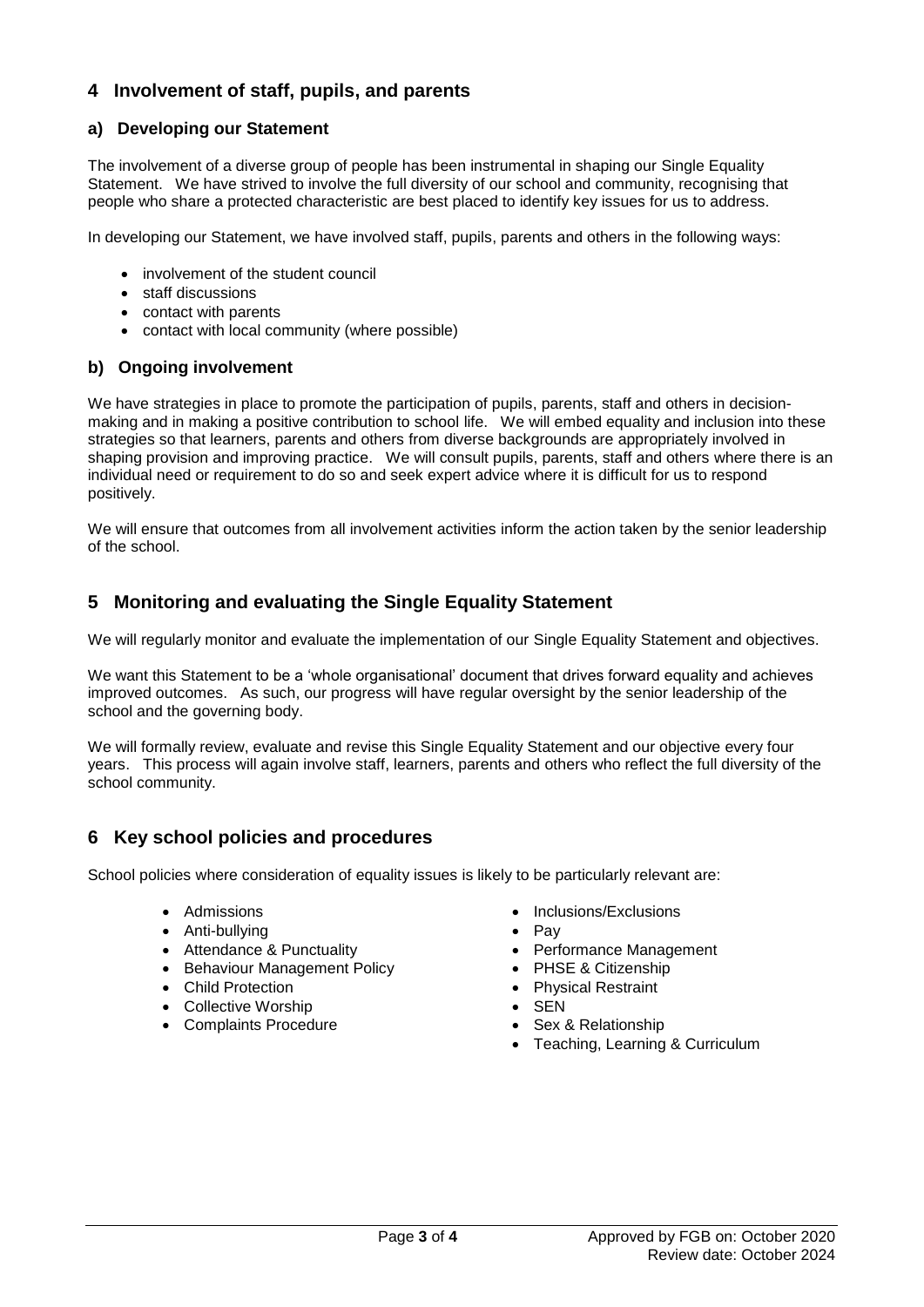## **4 Involvement of staff, pupils, and parents**

#### **a) Developing our Statement**

The involvement of a diverse group of people has been instrumental in shaping our Single Equality Statement. We have strived to involve the full diversity of our school and community, recognising that people who share a protected characteristic are best placed to identify key issues for us to address.

In developing our Statement, we have involved staff, pupils, parents and others in the following ways:

- involvement of the student council
- staff discussions
- contact with parents
- contact with local community (where possible)

#### **b) Ongoing involvement**

We have strategies in place to promote the participation of pupils, parents, staff and others in decisionmaking and in making a positive contribution to school life. We will embed equality and inclusion into these strategies so that learners, parents and others from diverse backgrounds are appropriately involved in shaping provision and improving practice. We will consult pupils, parents, staff and others where there is an individual need or requirement to do so and seek expert advice where it is difficult for us to respond positively.

We will ensure that outcomes from all involvement activities inform the action taken by the senior leadership of the school.

### **5 Monitoring and evaluating the Single Equality Statement**

We will regularly monitor and evaluate the implementation of our Single Equality Statement and objectives.

We want this Statement to be a 'whole organisational' document that drives forward equality and achieves improved outcomes. As such, our progress will have regular oversight by the senior leadership of the school and the governing body.

We will formally review, evaluate and revise this Single Equality Statement and our objective every four years. This process will again involve staff, learners, parents and others who reflect the full diversity of the school community.

### **6 Key school policies and procedures**

School policies where consideration of equality issues is likely to be particularly relevant are:

- Admissions
- Anti-bullying
- Attendance & Punctuality
- Behaviour Management Policy
- Child Protection
- Collective Worship
- Complaints Procedure
- Inclusions/Exclusions
- $\bullet$  Pav
- Performance Management
- PHSE & Citizenship
- Physical Restraint
- $\bullet$  SEN
- Sex & Relationship
- Teaching, Learning & Curriculum